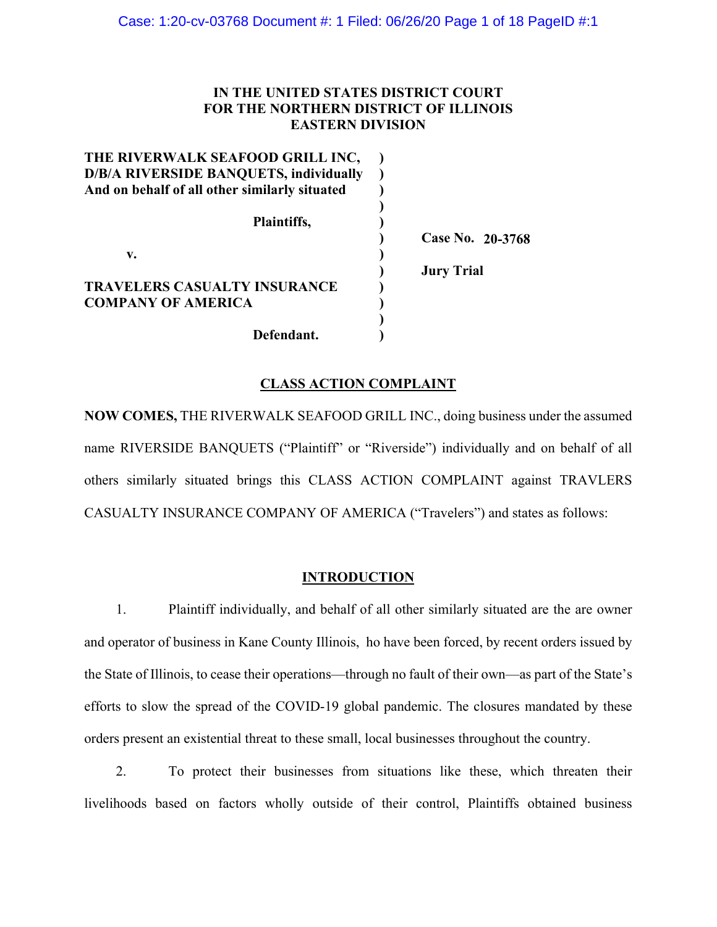## **IN THE UNITED STATES DISTRICT COURT FOR THE NORTHERN DISTRICT OF ILLINOIS EASTERN DIVISION**

| THE RIVERWALK SEAFOOD GRILL INC,              |                   |
|-----------------------------------------------|-------------------|
| <b>D/B/A RIVERSIDE BANQUETS, individually</b> |                   |
| And on behalf of all other similarly situated |                   |
|                                               |                   |
| Plaintiffs,                                   |                   |
|                                               | Case No. 20-3768  |
| v.                                            |                   |
|                                               | <b>Jury Trial</b> |
| TRAVELERS CASUALTY INSURANCE                  |                   |
| <b>COMPANY OF AMERICA</b>                     |                   |
|                                               |                   |
| Defendant.                                    |                   |

#### **CLASS ACTION COMPLAINT**

**NOW COMES,** THE RIVERWALK SEAFOOD GRILL INC., doing business under the assumed name RIVERSIDE BANQUETS ("Plaintiff" or "Riverside") individually and on behalf of all others similarly situated brings this CLASS ACTION COMPLAINT against TRAVLERS CASUALTY INSURANCE COMPANY OF AMERICA ("Travelers") and states as follows:

#### **INTRODUCTION**

1. Plaintiff individually, and behalf of all other similarly situated are the are owner and operator of business in Kane County Illinois, ho have been forced, by recent orders issued by the State of Illinois, to cease their operations—through no fault of their own—as part of the State's efforts to slow the spread of the COVID-19 global pandemic. The closures mandated by these orders present an existential threat to these small, local businesses throughout the country.

2. To protect their businesses from situations like these, which threaten their livelihoods based on factors wholly outside of their control, Plaintiffs obtained business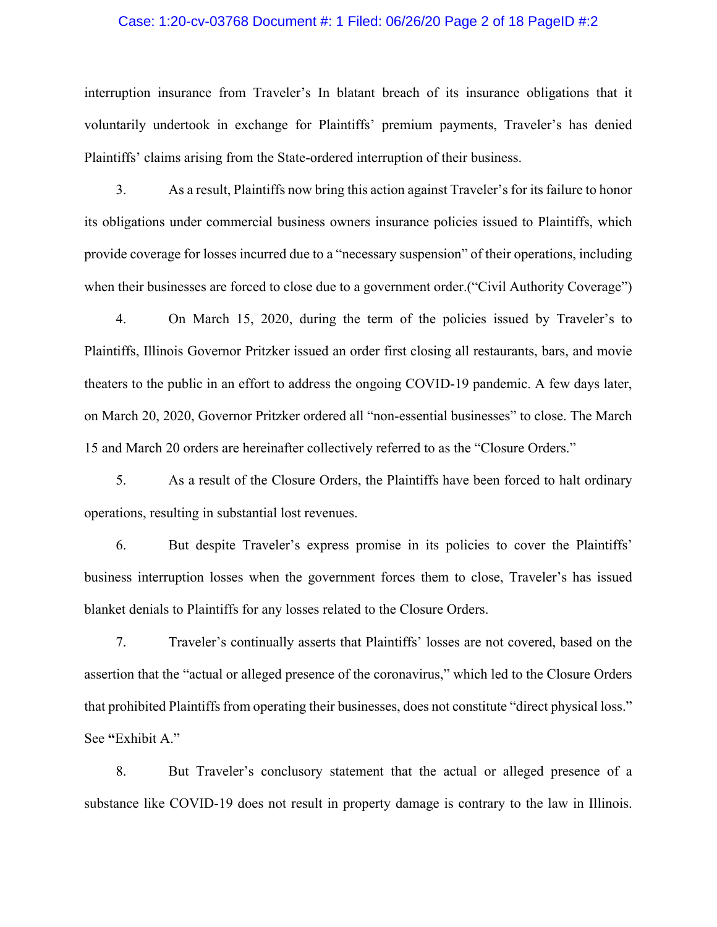## Case: 1:20-cv-03768 Document #: 1 Filed: 06/26/20 Page 2 of 18 PageID #:2

interruption insurance from Traveler's In blatant breach of its insurance obligations that it voluntarily undertook in exchange for Plaintiffs' premium payments, Traveler's has denied Plaintiffs' claims arising from the State-ordered interruption of their business.

3. As a result, Plaintiffs now bring this action against Traveler's for its failure to honor its obligations under commercial business owners insurance policies issued to Plaintiffs, which provide coverage for losses incurred due to a "necessary suspension" of their operations, including when their businesses are forced to close due to a government order.("Civil Authority Coverage")

4. On March 15, 2020, during the term of the policies issued by Traveler's to Plaintiffs, Illinois Governor Pritzker issued an order first closing all restaurants, bars, and movie theaters to the public in an effort to address the ongoing COVID-19 pandemic. A few days later, on March 20, 2020, Governor Pritzker ordered all "non-essential businesses" to close. The March 15 and March 20 orders are hereinafter collectively referred to as the "Closure Orders."

5. As a result of the Closure Orders, the Plaintiffs have been forced to halt ordinary operations, resulting in substantial lost revenues.

6. But despite Traveler's express promise in its policies to cover the Plaintiffs' business interruption losses when the government forces them to close, Traveler's has issued blanket denials to Plaintiffs for any losses related to the Closure Orders.

7. Traveler's continually asserts that Plaintiffs' losses are not covered, based on the assertion that the "actual or alleged presence of the coronavirus," which led to the Closure Orders that prohibited Plaintiffs from operating their businesses, does not constitute "direct physical loss." See **"**Exhibit A."

8. But Traveler's conclusory statement that the actual or alleged presence of a substance like COVID-19 does not result in property damage is contrary to the law in Illinois.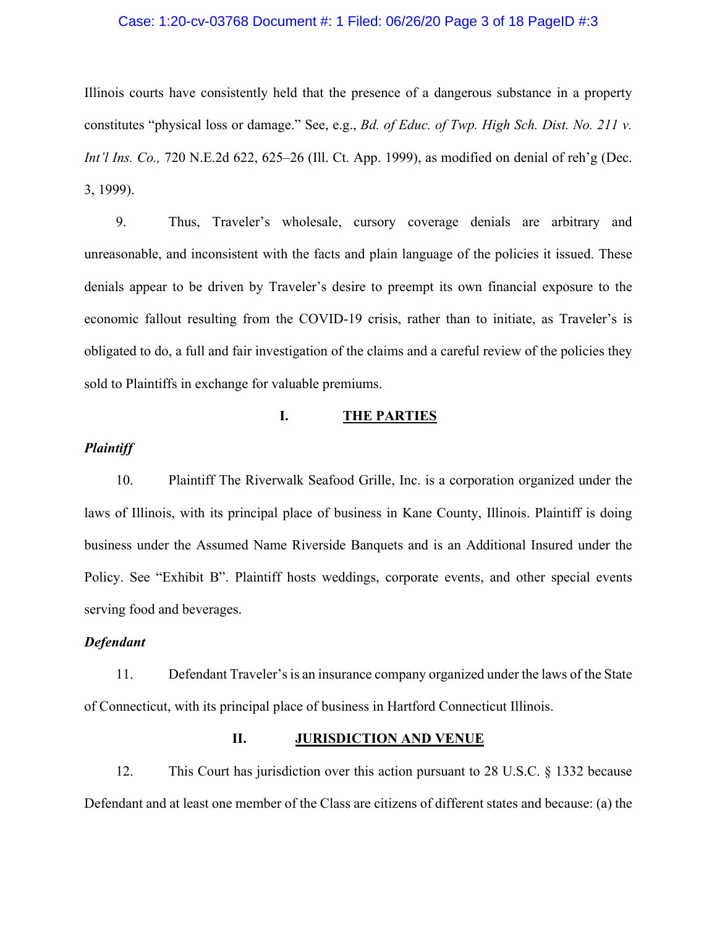## Case: 1:20-cv-03768 Document #: 1 Filed: 06/26/20 Page 3 of 18 PageID #:3

Illinois courts have consistently held that the presence of a dangerous substance in a property constitutes "physical loss or damage." See, e.g., *Bd. of Educ. of Twp. High Sch. Dist. No. 211 v. Int'l Ins. Co.,* 720 N.E.2d 622, 625–26 (Ill. Ct. App. 1999), as modified on denial of reh'g (Dec. 3, 1999).

9. Thus, Traveler's wholesale, cursory coverage denials are arbitrary and unreasonable, and inconsistent with the facts and plain language of the policies it issued. These denials appear to be driven by Traveler's desire to preempt its own financial exposure to the economic fallout resulting from the COVID-19 crisis, rather than to initiate, as Traveler's is obligated to do, a full and fair investigation of the claims and a careful review of the policies they sold to Plaintiffs in exchange for valuable premiums.

#### **I. THE PARTIES**

## *Plaintiff*

10. Plaintiff The Riverwalk Seafood Grille, Inc. is a corporation organized under the laws of Illinois, with its principal place of business in Kane County, Illinois. Plaintiff is doing business under the Assumed Name Riverside Banquets and is an Additional Insured under the Policy. See "Exhibit B". Plaintiff hosts weddings, corporate events, and other special events serving food and beverages.

#### *Defendant*

11. Defendant Traveler's is an insurance company organized under the laws of the State of Connecticut, with its principal place of business in Hartford Connecticut Illinois.

#### **II. JURISDICTION AND VENUE**

12. This Court has jurisdiction over this action pursuant to 28 U.S.C. § 1332 because Defendant and at least one member of the Class are citizens of different states and because: (a) the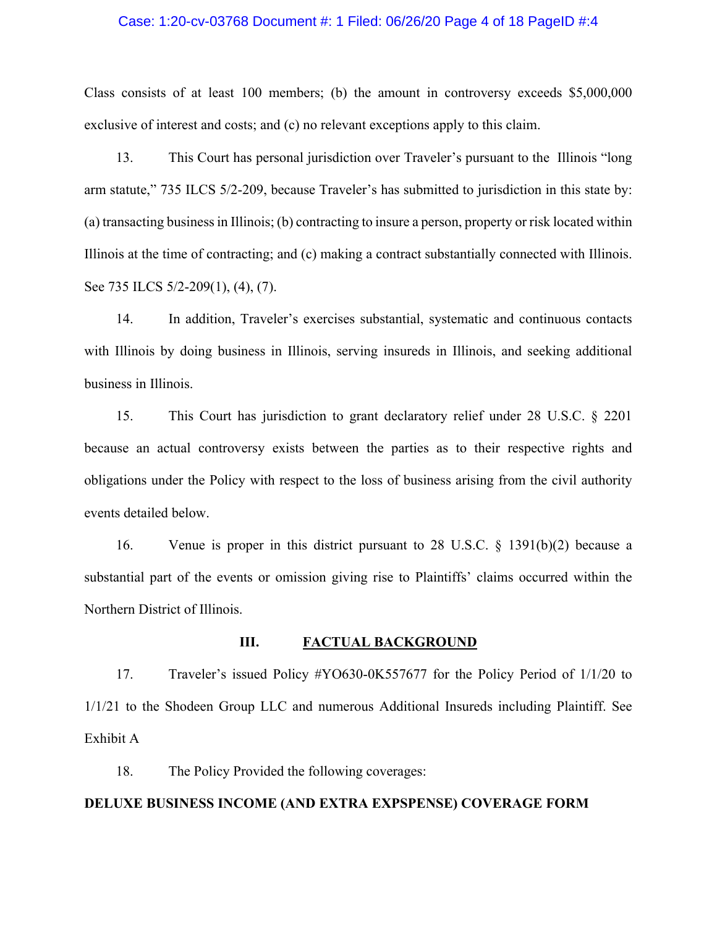#### Case: 1:20-cv-03768 Document #: 1 Filed: 06/26/20 Page 4 of 18 PageID #:4

Class consists of at least 100 members; (b) the amount in controversy exceeds \$5,000,000 exclusive of interest and costs; and (c) no relevant exceptions apply to this claim.

13. This Court has personal jurisdiction over Traveler's pursuant to the Illinois "long arm statute," 735 ILCS 5/2-209, because Traveler's has submitted to jurisdiction in this state by: (a) transacting business in Illinois; (b) contracting to insure a person, property or risk located within Illinois at the time of contracting; and (c) making a contract substantially connected with Illinois. See 735 ILCS 5/2-209(1), (4), (7).

14. In addition, Traveler's exercises substantial, systematic and continuous contacts with Illinois by doing business in Illinois, serving insureds in Illinois, and seeking additional business in Illinois.

15. This Court has jurisdiction to grant declaratory relief under 28 U.S.C. § 2201 because an actual controversy exists between the parties as to their respective rights and obligations under the Policy with respect to the loss of business arising from the civil authority events detailed below.

16. Venue is proper in this district pursuant to 28 U.S.C. § 1391(b)(2) because a substantial part of the events or omission giving rise to Plaintiffs' claims occurred within the Northern District of Illinois.

#### **III. FACTUAL BACKGROUND**

17. Traveler's issued Policy #YO630-0K557677 for the Policy Period of 1/1/20 to 1/1/21 to the Shodeen Group LLC and numerous Additional Insureds including Plaintiff. See Exhibit A

18. The Policy Provided the following coverages:

#### **DELUXE BUSINESS INCOME (AND EXTRA EXPSPENSE) COVERAGE FORM**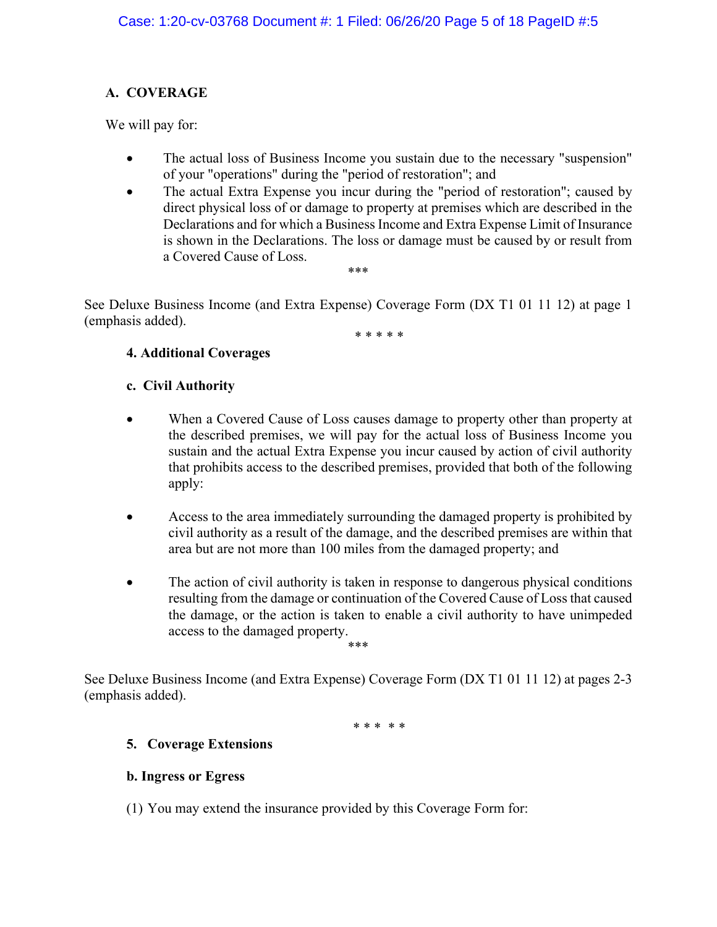# **A. COVERAGE**

We will pay for:

- The actual loss of Business Income you sustain due to the necessary "suspension" of your "operations" during the "period of restoration"; and
- The actual Extra Expense you incur during the "period of restoration"; caused by direct physical loss of or damage to property at premises which are described in the Declarations and for which a Business Income and Extra Expense Limit of Insurance is shown in the Declarations. The loss or damage must be caused by or result from a Covered Cause of Loss. \*\*\*

See Deluxe Business Income (and Extra Expense) Coverage Form (DX T1 01 11 12) at page 1 (emphasis added).

\* \* \* \* \*

# **4. Additional Coverages**

## **c. Civil Authority**

- When a Covered Cause of Loss causes damage to property other than property at the described premises, we will pay for the actual loss of Business Income you sustain and the actual Extra Expense you incur caused by action of civil authority that prohibits access to the described premises, provided that both of the following apply:
- Access to the area immediately surrounding the damaged property is prohibited by civil authority as a result of the damage, and the described premises are within that area but are not more than 100 miles from the damaged property; and
- The action of civil authority is taken in response to dangerous physical conditions resulting from the damage or continuation of the Covered Cause of Loss that caused the damage, or the action is taken to enable a civil authority to have unimpeded access to the damaged property. \*\*\*

See Deluxe Business Income (and Extra Expense) Coverage Form (DX T1 01 11 12) at pages 2-3 (emphasis added).

\* \* \* \* \*

# **5. Coverage Extensions**

# **b. Ingress or Egress**

(1) You may extend the insurance provided by this Coverage Form for: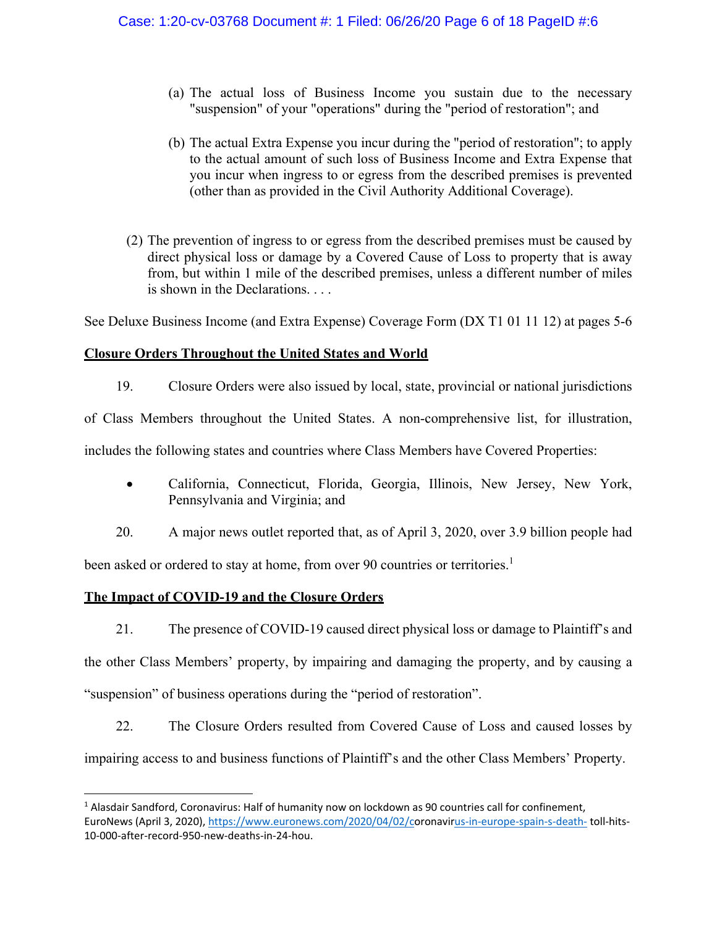- (a) The actual loss of Business Income you sustain due to the necessary "suspension" of your "operations" during the "period of restoration"; and
- (b) The actual Extra Expense you incur during the "period of restoration"; to apply to the actual amount of such loss of Business Income and Extra Expense that you incur when ingress to or egress from the described premises is prevented (other than as provided in the Civil Authority Additional Coverage).
- (2) The prevention of ingress to or egress from the described premises must be caused by direct physical loss or damage by a Covered Cause of Loss to property that is away from, but within 1 mile of the described premises, unless a different number of miles is shown in the Declarations. . . .

See Deluxe Business Income (and Extra Expense) Coverage Form (DX T1 01 11 12) at pages 5-6

## **Closure Orders Throughout the United States and World**

19. Closure Orders were also issued by local, state, provincial or national jurisdictions

of Class Members throughout the United States. A non-comprehensive list, for illustration,

includes the following states and countries where Class Members have Covered Properties:

- California, Connecticut, Florida, Georgia, Illinois, New Jersey, New York, Pennsylvania and Virginia; and
- 20. A major news outlet reported that, as of April 3, 2020, over 3.9 billion people had

been asked or ordered to stay at home, from over 90 countries or territories.<sup>1</sup>

## **The Impact of COVID-19 and the Closure Orders**

21. The presence of COVID-19 caused direct physical loss or damage to Plaintiff's and the other Class Members' property, by impairing and damaging the property, and by causing a "suspension" of business operations during the "period of restoration".

22. The Closure Orders resulted from Covered Cause of Loss and caused losses by impairing access to and business functions of Plaintiff's and the other Class Members' Property.

<sup>&</sup>lt;sup>1</sup> Alasdair Sandford, Coronavirus: Half of humanity now on lockdown as 90 countries call for confinement, EuroNews (April 3, 2020), https://www.euronews.com/2020/04/02/coronavirus-in-europe-spain-s-death-toll-hits-10‐000‐after‐record‐950‐new‐deaths‐in‐24‐hou.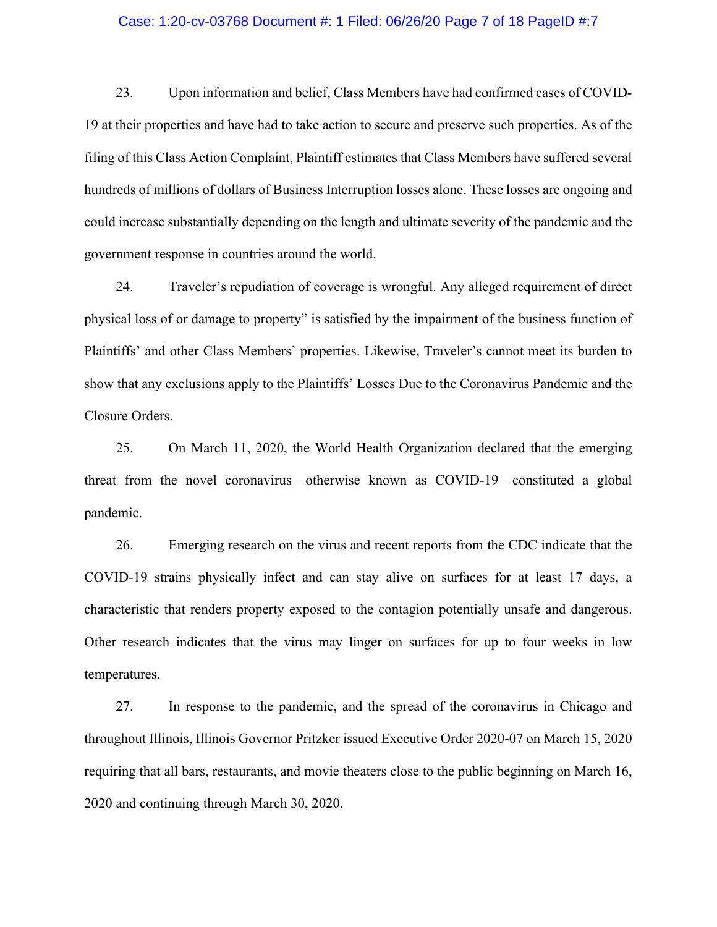#### Case: 1:20-cv-03768 Document #: 1 Filed: 06/26/20 Page 7 of 18 PageID #:7

23. Upon information and belief, Class Members have had confirmed cases of COVID-19 at their properties and have had to take action to secure and preserve such properties. As of the filing of this Class Action Complaint, Plaintiff estimates that Class Members have suffered several hundreds of millions of dollars of Business Interruption losses alone. These losses are ongoing and could increase substantially depending on the length and ultimate severity of the pandemic and the government response in countries around the world.

24. Traveler's repudiation of coverage is wrongful. Any alleged requirement of direct physical loss of or damage to property" is satisfied by the impairment of the business function of Plaintiffs' and other Class Members' properties. Likewise, Traveler's cannot meet its burden to show that any exclusions apply to the Plaintiffs' Losses Due to the Coronavirus Pandemic and the Closure Orders.

25. On March 11, 2020, the World Health Organization declared that the emerging threat from the novel coronavirus—otherwise known as COVID-19—constituted a global pandemic.

26. Emerging research on the virus and recent reports from the CDC indicate that the COVID-19 strains physically infect and can stay alive on surfaces for at least 17 days, a characteristic that renders property exposed to the contagion potentially unsafe and dangerous. Other research indicates that the virus may linger on surfaces for up to four weeks in low temperatures.

27. In response to the pandemic, and the spread of the coronavirus in Chicago and throughout Illinois, Illinois Governor Pritzker issued Executive Order 2020-07 on March 15, 2020 requiring that all bars, restaurants, and movie theaters close to the public beginning on March 16, 2020 and continuing through March 30, 2020.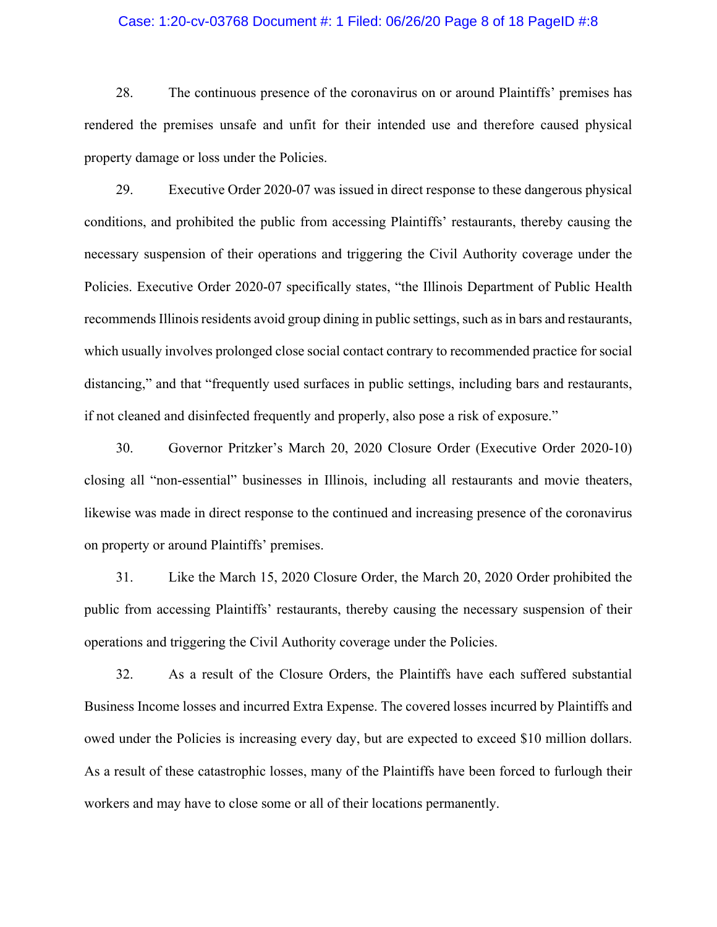#### Case: 1:20-cv-03768 Document #: 1 Filed: 06/26/20 Page 8 of 18 PageID #:8

28. The continuous presence of the coronavirus on or around Plaintiffs' premises has rendered the premises unsafe and unfit for their intended use and therefore caused physical property damage or loss under the Policies.

29. Executive Order 2020-07 was issued in direct response to these dangerous physical conditions, and prohibited the public from accessing Plaintiffs' restaurants, thereby causing the necessary suspension of their operations and triggering the Civil Authority coverage under the Policies. Executive Order 2020-07 specifically states, "the Illinois Department of Public Health recommends Illinois residents avoid group dining in public settings, such as in bars and restaurants, which usually involves prolonged close social contact contrary to recommended practice for social distancing," and that "frequently used surfaces in public settings, including bars and restaurants, if not cleaned and disinfected frequently and properly, also pose a risk of exposure."

30. Governor Pritzker's March 20, 2020 Closure Order (Executive Order 2020-10) closing all "non-essential" businesses in Illinois, including all restaurants and movie theaters, likewise was made in direct response to the continued and increasing presence of the coronavirus on property or around Plaintiffs' premises.

31. Like the March 15, 2020 Closure Order, the March 20, 2020 Order prohibited the public from accessing Plaintiffs' restaurants, thereby causing the necessary suspension of their operations and triggering the Civil Authority coverage under the Policies.

32. As a result of the Closure Orders, the Plaintiffs have each suffered substantial Business Income losses and incurred Extra Expense. The covered losses incurred by Plaintiffs and owed under the Policies is increasing every day, but are expected to exceed \$10 million dollars. As a result of these catastrophic losses, many of the Plaintiffs have been forced to furlough their workers and may have to close some or all of their locations permanently.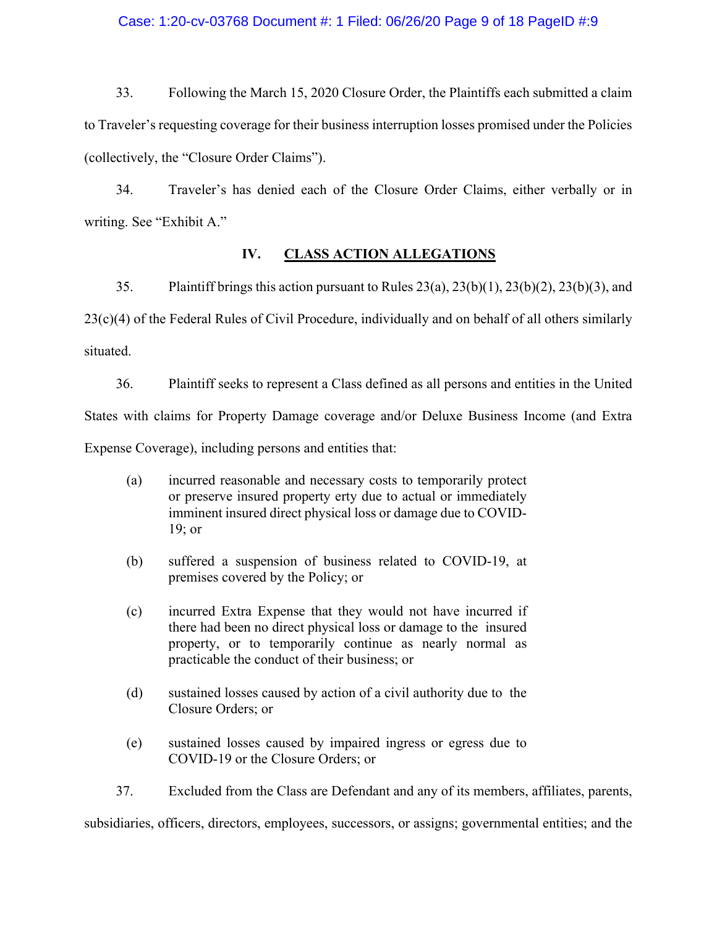## Case: 1:20-cv-03768 Document #: 1 Filed: 06/26/20 Page 9 of 18 PageID #:9

33. Following the March 15, 2020 Closure Order, the Plaintiffs each submitted a claim to Traveler's requesting coverage for their business interruption losses promised under the Policies (collectively, the "Closure Order Claims").

34. Traveler's has denied each of the Closure Order Claims, either verbally or in writing. See "Exhibit A."

#### **IV. CLASS ACTION ALLEGATIONS**

35. Plaintiff brings this action pursuant to Rules 23(a), 23(b)(1), 23(b)(2), 23(b)(3), and 23(c)(4) of the Federal Rules of Civil Procedure, individually and on behalf of all others similarly situated.

36. Plaintiff seeks to represent a Class defined as all persons and entities in the United States with claims for Property Damage coverage and/or Deluxe Business Income (and Extra Expense Coverage), including persons and entities that:

- (a) incurred reasonable and necessary costs to temporarily protect or preserve insured property erty due to actual or immediately imminent insured direct physical loss or damage due to COVID-19; or
- (b) suffered a suspension of business related to COVID-19, at premises covered by the Policy; or
- (c) incurred Extra Expense that they would not have incurred if there had been no direct physical loss or damage to the insured property, or to temporarily continue as nearly normal as practicable the conduct of their business; or
- (d) sustained losses caused by action of a civil authority due to the Closure Orders; or
- (e) sustained losses caused by impaired ingress or egress due to COVID-19 or the Closure Orders; or

37. Excluded from the Class are Defendant and any of its members, affiliates, parents,

subsidiaries, officers, directors, employees, successors, or assigns; governmental entities; and the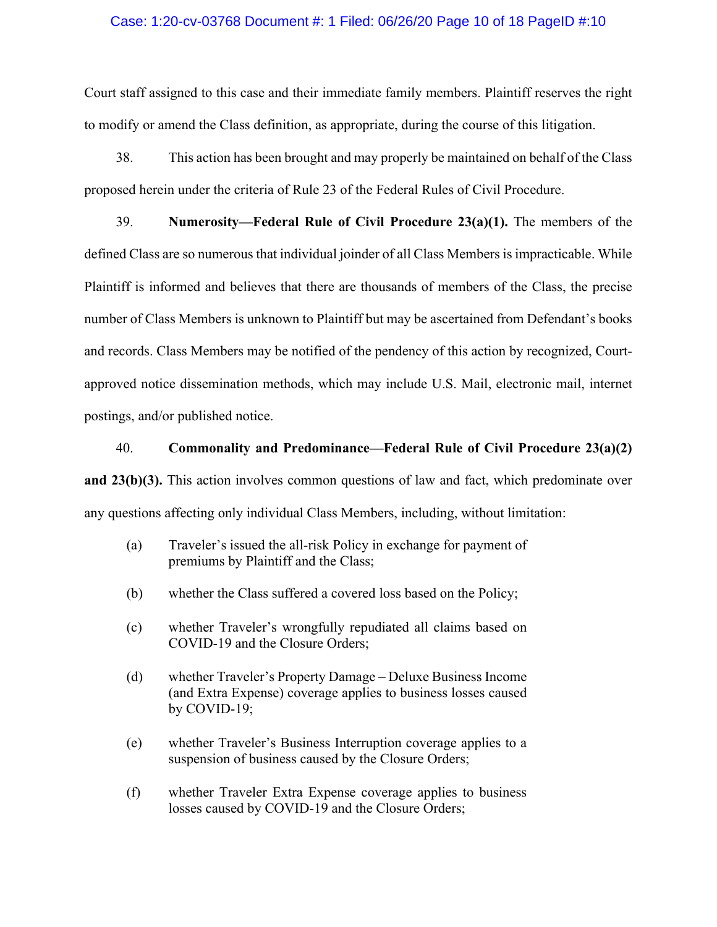## Case: 1:20-cv-03768 Document #: 1 Filed: 06/26/20 Page 10 of 18 PageID #:10

Court staff assigned to this case and their immediate family members. Plaintiff reserves the right to modify or amend the Class definition, as appropriate, during the course of this litigation.

38. This action has been brought and may properly be maintained on behalf of the Class proposed herein under the criteria of Rule 23 of the Federal Rules of Civil Procedure.

39. **Numerosity—Federal Rule of Civil Procedure 23(a)(1).** The members of the defined Class are so numerous that individual joinder of all Class Members is impracticable. While Plaintiff is informed and believes that there are thousands of members of the Class, the precise number of Class Members is unknown to Plaintiff but may be ascertained from Defendant's books and records. Class Members may be notified of the pendency of this action by recognized, Courtapproved notice dissemination methods, which may include U.S. Mail, electronic mail, internet postings, and/or published notice.

#### 40. **Commonality and Predominance—Federal Rule of Civil Procedure 23(a)(2)**

**and 23(b)(3).** This action involves common questions of law and fact, which predominate over any questions affecting only individual Class Members, including, without limitation:

- (a) Traveler's issued the all-risk Policy in exchange for payment of premiums by Plaintiff and the Class;
- (b) whether the Class suffered a covered loss based on the Policy;
- (c) whether Traveler's wrongfully repudiated all claims based on COVID-19 and the Closure Orders;
- (d) whether Traveler's Property Damage Deluxe Business Income (and Extra Expense) coverage applies to business losses caused by COVID-19;
- (e) whether Traveler's Business Interruption coverage applies to a suspension of business caused by the Closure Orders;
- (f) whether Traveler Extra Expense coverage applies to business losses caused by COVID-19 and the Closure Orders;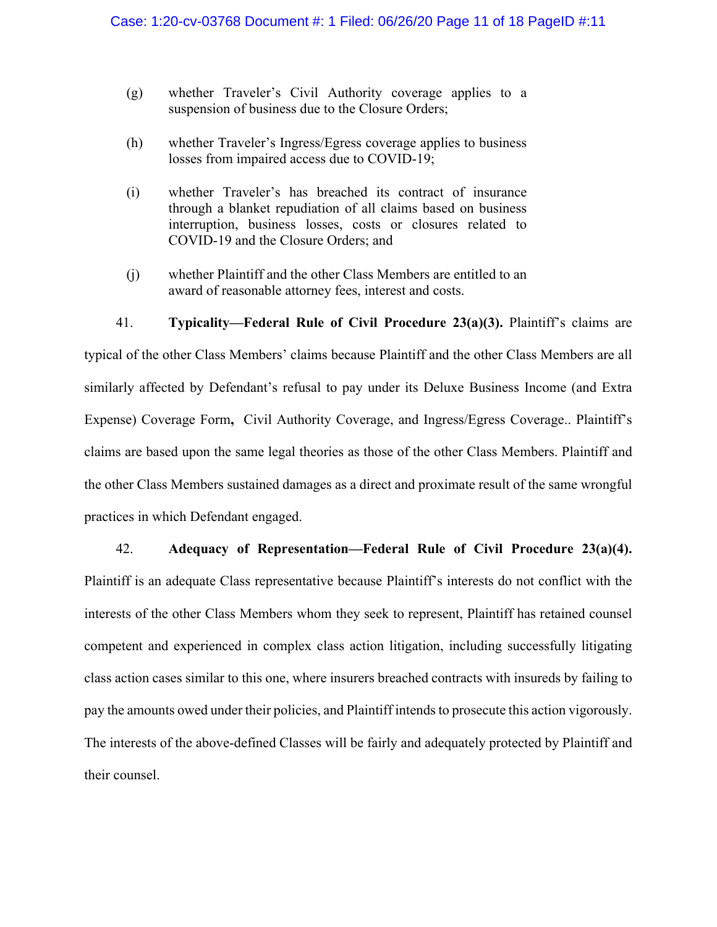- (g) whether Traveler's Civil Authority coverage applies to a suspension of business due to the Closure Orders;
- (h) whether Traveler's Ingress/Egress coverage applies to business losses from impaired access due to COVID-19;
- (i) whether Traveler's has breached its contract of insurance through a blanket repudiation of all claims based on business interruption, business losses, costs or closures related to COVID-19 and the Closure Orders; and
- (j) whether Plaintiff and the other Class Members are entitled to an award of reasonable attorney fees, interest and costs.

# 41. **Typicality—Federal Rule of Civil Procedure 23(a)(3).** Plaintiff's claims are

typical of the other Class Members' claims because Plaintiff and the other Class Members are all similarly affected by Defendant's refusal to pay under its Deluxe Business Income (and Extra Expense) Coverage Form**,** Civil Authority Coverage, and Ingress/Egress Coverage.. Plaintiff's claims are based upon the same legal theories as those of the other Class Members. Plaintiff and the other Class Members sustained damages as a direct and proximate result of the same wrongful practices in which Defendant engaged.

#### 42. **Adequacy of Representation—Federal Rule of Civil Procedure 23(a)(4).**

Plaintiff is an adequate Class representative because Plaintiff's interests do not conflict with the interests of the other Class Members whom they seek to represent, Plaintiff has retained counsel competent and experienced in complex class action litigation, including successfully litigating class action cases similar to this one, where insurers breached contracts with insureds by failing to pay the amounts owed under their policies, and Plaintiff intends to prosecute this action vigorously. The interests of the above-defined Classes will be fairly and adequately protected by Plaintiff and their counsel.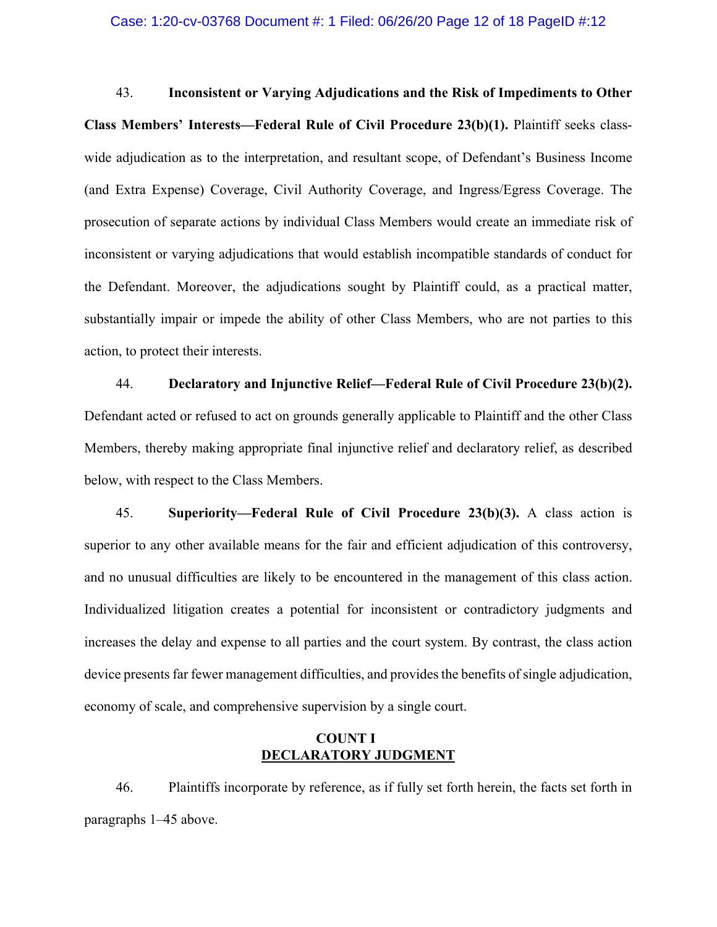43. **Inconsistent or Varying Adjudications and the Risk of Impediments to Other Class Members' Interests—Federal Rule of Civil Procedure 23(b)(1).** Plaintiff seeks classwide adjudication as to the interpretation, and resultant scope, of Defendant's Business Income (and Extra Expense) Coverage, Civil Authority Coverage, and Ingress/Egress Coverage. The prosecution of separate actions by individual Class Members would create an immediate risk of inconsistent or varying adjudications that would establish incompatible standards of conduct for the Defendant. Moreover, the adjudications sought by Plaintiff could, as a practical matter, substantially impair or impede the ability of other Class Members, who are not parties to this action, to protect their interests.

44. **Declaratory and Injunctive Relief—Federal Rule of Civil Procedure 23(b)(2).**  Defendant acted or refused to act on grounds generally applicable to Plaintiff and the other Class Members, thereby making appropriate final injunctive relief and declaratory relief, as described below, with respect to the Class Members.

45. **Superiority—Federal Rule of Civil Procedure 23(b)(3).** A class action is superior to any other available means for the fair and efficient adjudication of this controversy, and no unusual difficulties are likely to be encountered in the management of this class action. Individualized litigation creates a potential for inconsistent or contradictory judgments and increases the delay and expense to all parties and the court system. By contrast, the class action device presents far fewer management difficulties, and provides the benefits of single adjudication, economy of scale, and comprehensive supervision by a single court.

## **COUNT I DECLARATORY JUDGMENT**

46. Plaintiffs incorporate by reference, as if fully set forth herein, the facts set forth in paragraphs 1–45 above.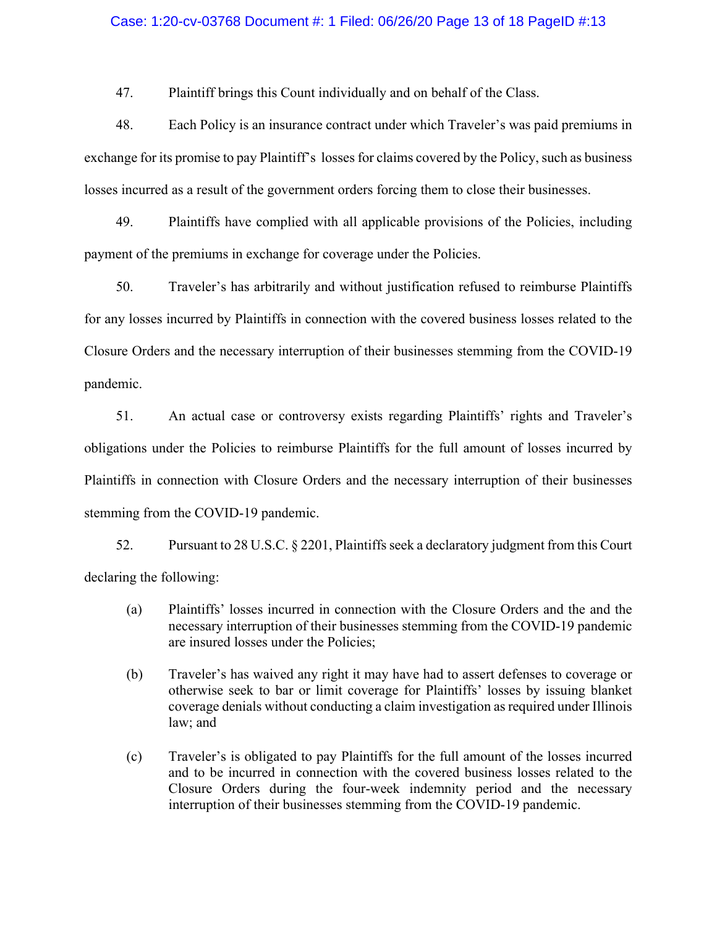## Case: 1:20-cv-03768 Document #: 1 Filed: 06/26/20 Page 13 of 18 PageID #:13

47. Plaintiff brings this Count individually and on behalf of the Class.

48. Each Policy is an insurance contract under which Traveler's was paid premiums in exchange for its promise to pay Plaintiff's losses for claims covered by the Policy, such as business losses incurred as a result of the government orders forcing them to close their businesses.

49. Plaintiffs have complied with all applicable provisions of the Policies, including payment of the premiums in exchange for coverage under the Policies.

50. Traveler's has arbitrarily and without justification refused to reimburse Plaintiffs for any losses incurred by Plaintiffs in connection with the covered business losses related to the Closure Orders and the necessary interruption of their businesses stemming from the COVID-19 pandemic.

51. An actual case or controversy exists regarding Plaintiffs' rights and Traveler's obligations under the Policies to reimburse Plaintiffs for the full amount of losses incurred by Plaintiffs in connection with Closure Orders and the necessary interruption of their businesses stemming from the COVID-19 pandemic.

52. Pursuant to 28 U.S.C. § 2201, Plaintiffs seek a declaratory judgment from this Court declaring the following:

- (a) Plaintiffs' losses incurred in connection with the Closure Orders and the and the necessary interruption of their businesses stemming from the COVID-19 pandemic are insured losses under the Policies;
- (b) Traveler's has waived any right it may have had to assert defenses to coverage or otherwise seek to bar or limit coverage for Plaintiffs' losses by issuing blanket coverage denials without conducting a claim investigation as required under Illinois law; and
- (c) Traveler's is obligated to pay Plaintiffs for the full amount of the losses incurred and to be incurred in connection with the covered business losses related to the Closure Orders during the four-week indemnity period and the necessary interruption of their businesses stemming from the COVID-19 pandemic.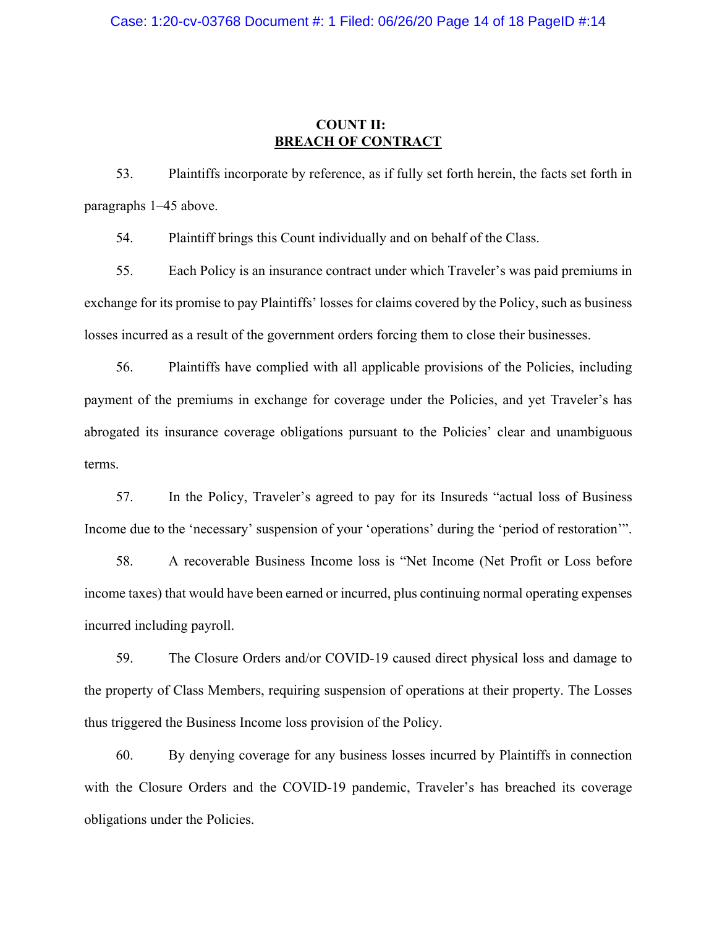## **COUNT II: BREACH OF CONTRACT**

53. Plaintiffs incorporate by reference, as if fully set forth herein, the facts set forth in paragraphs 1–45 above.

54. Plaintiff brings this Count individually and on behalf of the Class.

55. Each Policy is an insurance contract under which Traveler's was paid premiums in exchange for its promise to pay Plaintiffs' losses for claims covered by the Policy, such as business losses incurred as a result of the government orders forcing them to close their businesses.

56. Plaintiffs have complied with all applicable provisions of the Policies, including payment of the premiums in exchange for coverage under the Policies, and yet Traveler's has abrogated its insurance coverage obligations pursuant to the Policies' clear and unambiguous terms.

57. In the Policy, Traveler's agreed to pay for its Insureds "actual loss of Business Income due to the 'necessary' suspension of your 'operations' during the 'period of restoration'".

58. A recoverable Business Income loss is "Net Income (Net Profit or Loss before income taxes) that would have been earned or incurred, plus continuing normal operating expenses incurred including payroll.

59. The Closure Orders and/or COVID-19 caused direct physical loss and damage to the property of Class Members, requiring suspension of operations at their property. The Losses thus triggered the Business Income loss provision of the Policy.

60. By denying coverage for any business losses incurred by Plaintiffs in connection with the Closure Orders and the COVID-19 pandemic, Traveler's has breached its coverage obligations under the Policies.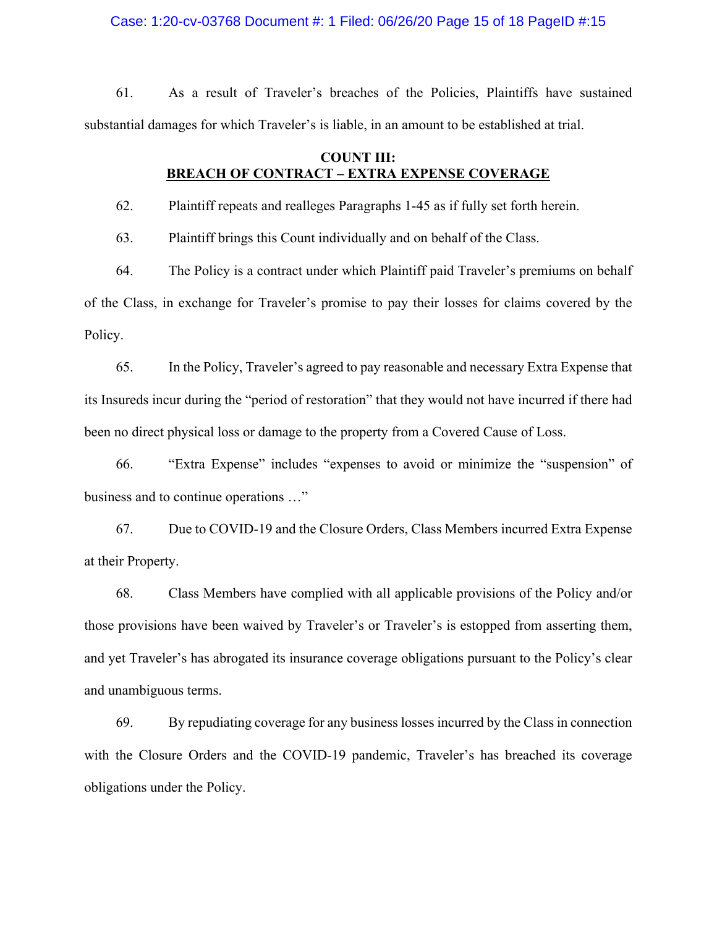Case: 1:20-cv-03768 Document #: 1 Filed: 06/26/20 Page 15 of 18 PageID #:15

61. As a result of Traveler's breaches of the Policies, Plaintiffs have sustained substantial damages for which Traveler's is liable, in an amount to be established at trial.

## **COUNT III: BREACH OF CONTRACT – EXTRA EXPENSE COVERAGE**

62. Plaintiff repeats and realleges Paragraphs 1-45 as if fully set forth herein.

63. Plaintiff brings this Count individually and on behalf of the Class.

64. The Policy is a contract under which Plaintiff paid Traveler's premiums on behalf of the Class, in exchange for Traveler's promise to pay their losses for claims covered by the Policy.

65. In the Policy, Traveler's agreed to pay reasonable and necessary Extra Expense that its Insureds incur during the "period of restoration" that they would not have incurred if there had been no direct physical loss or damage to the property from a Covered Cause of Loss.

66. "Extra Expense" includes "expenses to avoid or minimize the "suspension" of business and to continue operations …"

67. Due to COVID-19 and the Closure Orders, Class Members incurred Extra Expense at their Property.

68. Class Members have complied with all applicable provisions of the Policy and/or those provisions have been waived by Traveler's or Traveler's is estopped from asserting them, and yet Traveler's has abrogated its insurance coverage obligations pursuant to the Policy's clear and unambiguous terms.

69. By repudiating coverage for any business losses incurred by the Class in connection with the Closure Orders and the COVID-19 pandemic, Traveler's has breached its coverage obligations under the Policy.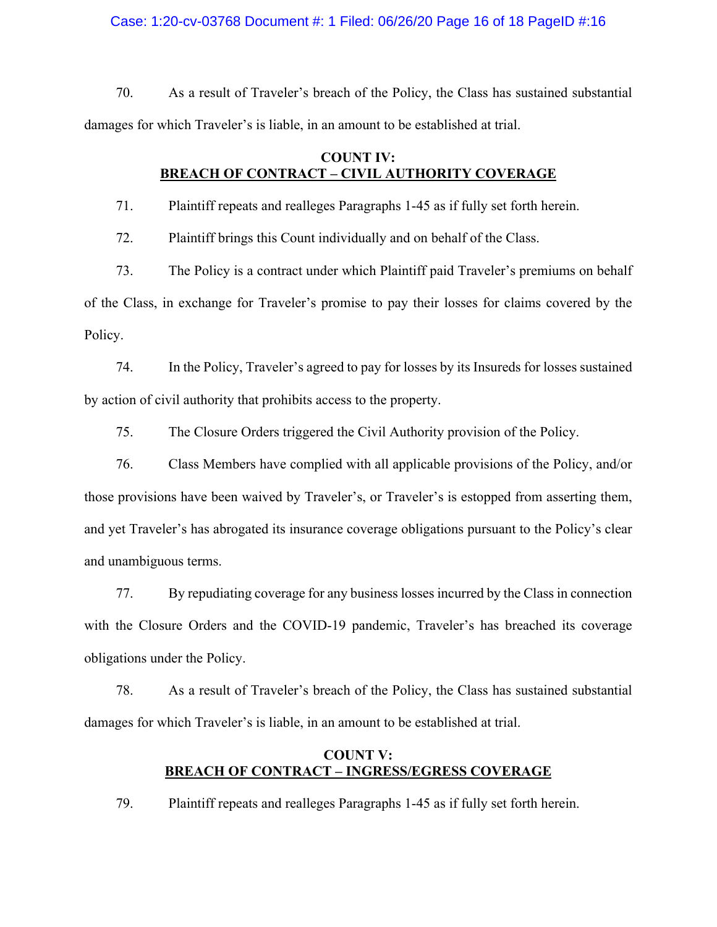Case: 1:20-cv-03768 Document #: 1 Filed: 06/26/20 Page 16 of 18 PageID #:16

70. As a result of Traveler's breach of the Policy, the Class has sustained substantial damages for which Traveler's is liable, in an amount to be established at trial.

## **COUNT IV: BREACH OF CONTRACT – CIVIL AUTHORITY COVERAGE**

71. Plaintiff repeats and realleges Paragraphs 1-45 as if fully set forth herein.

72. Plaintiff brings this Count individually and on behalf of the Class.

73. The Policy is a contract under which Plaintiff paid Traveler's premiums on behalf of the Class, in exchange for Traveler's promise to pay their losses for claims covered by the Policy.

74. In the Policy, Traveler's agreed to pay for losses by its Insureds for losses sustained by action of civil authority that prohibits access to the property.

75. The Closure Orders triggered the Civil Authority provision of the Policy.

76. Class Members have complied with all applicable provisions of the Policy, and/or those provisions have been waived by Traveler's, or Traveler's is estopped from asserting them, and yet Traveler's has abrogated its insurance coverage obligations pursuant to the Policy's clear and unambiguous terms.

77. By repudiating coverage for any business losses incurred by the Class in connection with the Closure Orders and the COVID-19 pandemic, Traveler's has breached its coverage obligations under the Policy.

78. As a result of Traveler's breach of the Policy, the Class has sustained substantial damages for which Traveler's is liable, in an amount to be established at trial.

## **COUNT V: BREACH OF CONTRACT – INGRESS/EGRESS COVERAGE**

79. Plaintiff repeats and realleges Paragraphs 1-45 as if fully set forth herein.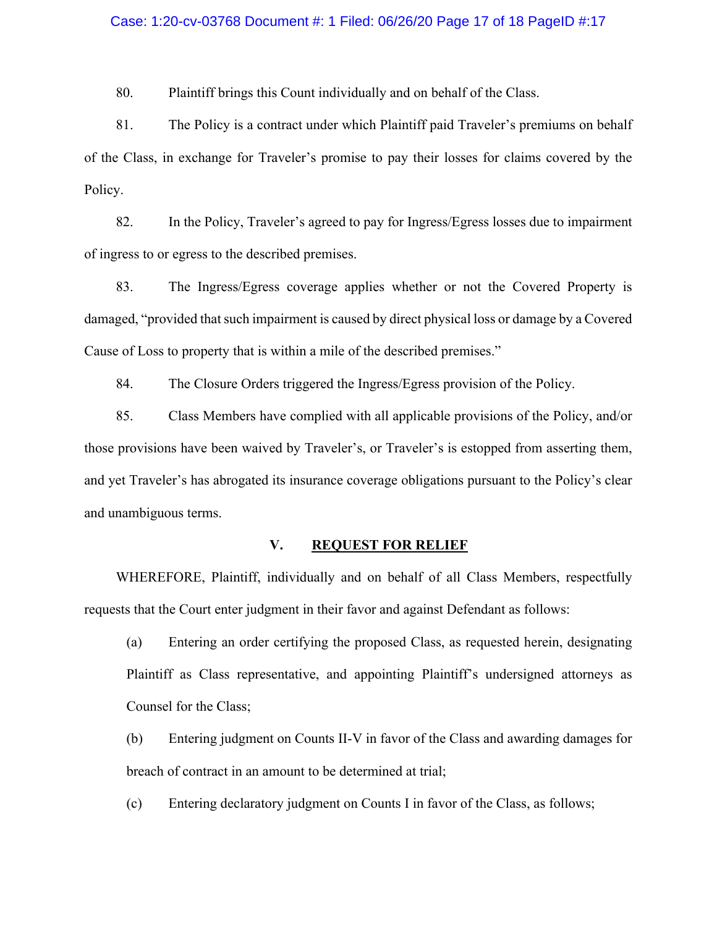#### Case: 1:20-cv-03768 Document #: 1 Filed: 06/26/20 Page 17 of 18 PageID #:17

80. Plaintiff brings this Count individually and on behalf of the Class.

81. The Policy is a contract under which Plaintiff paid Traveler's premiums on behalf of the Class, in exchange for Traveler's promise to pay their losses for claims covered by the Policy.

82. In the Policy, Traveler's agreed to pay for Ingress/Egress losses due to impairment of ingress to or egress to the described premises.

83. The Ingress/Egress coverage applies whether or not the Covered Property is damaged, "provided that such impairment is caused by direct physical loss or damage by a Covered Cause of Loss to property that is within a mile of the described premises."

84. The Closure Orders triggered the Ingress/Egress provision of the Policy.

85. Class Members have complied with all applicable provisions of the Policy, and/or those provisions have been waived by Traveler's, or Traveler's is estopped from asserting them, and yet Traveler's has abrogated its insurance coverage obligations pursuant to the Policy's clear and unambiguous terms.

#### **V. REQUEST FOR RELIEF**

WHEREFORE, Plaintiff, individually and on behalf of all Class Members, respectfully requests that the Court enter judgment in their favor and against Defendant as follows:

- (a) Entering an order certifying the proposed Class, as requested herein, designating Plaintiff as Class representative, and appointing Plaintiff's undersigned attorneys as Counsel for the Class;
- (b) Entering judgment on Counts II-V in favor of the Class and awarding damages for breach of contract in an amount to be determined at trial;
- (c) Entering declaratory judgment on Counts I in favor of the Class, as follows;